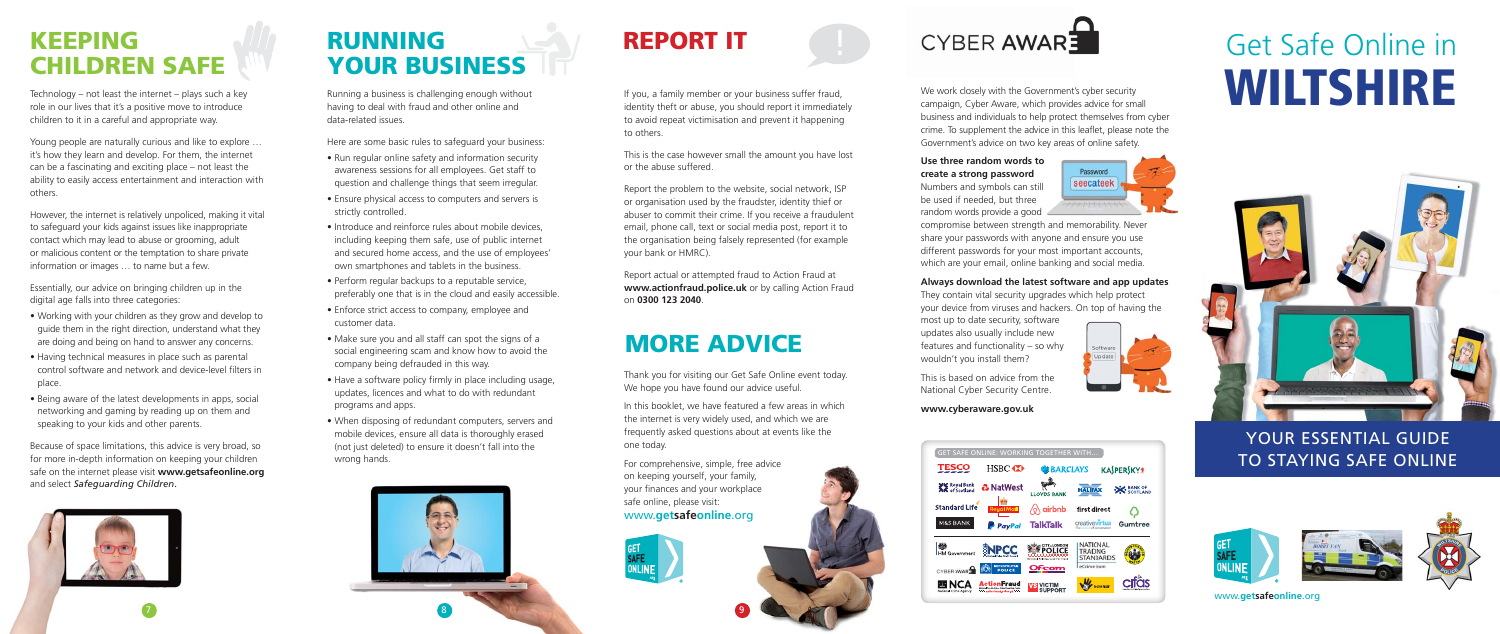Technology – not least the internet – plays such a key role in our lives that it's a positive move to introduce children to it in a careful and appropriate way.

Young people are naturally curious and like to explore … it's how they learn and develop. For them, the internet can be a fascinating and exciting place – not least the ability to easily access entertainment and interaction with others.

However, the internet is relatively unpoliced, making it vital to safeguard your kids against issues like inappropriate contact which may lead to abuse or grooming, adult or malicious content or the temptation to share private information or images … to name but a few.

Essentially, our advice on bringing children up in the digital age falls into three categories:

- Working with your children as they grow and develop to guide them in the right direction, understand what they are doing and being on hand to answer any concerns.
- Having technical measures in place such as parental control software and network and device-level filters in place.
- Being aware of the latest developments in apps, social networking and gaming by reading up on them and speaking to your kids and other parents.

Because of space limitations, this advice is very broad, so for more in-depth information on keeping your children safe on the internet please visit **www.getsafeonline.org** and select *Safeguarding Children*.



## **KEEPING CHILDREN SAFE**

If vou, a family member or your business suffer fraud, identity theft or abuse, you should report it immediately to avoid repeat victimisation and prevent it happening to others.

Running a business is challenging enough without having to deal with fraud and other online and data-related issues.

Here are some basic rules to safeguard your business:

Thank you for visiting our Get Safe Online event today. We hope you have found our advice useful.

- Run regular online safety and information security awareness sessions for all employees. Get staff to question and challenge things that seem irregular.
- Ensure physical access to computers and servers is strictly controlled.
- Introduce and reinforce rules about mobile devices. including keeping them safe, use of public internet and secured home access, and the use of employees' own smartphones and tablets in the business.
- Perform regular backups to a reputable service, preferably one that is in the cloud and easily accessible.
- Enforce strict access to company, employee and customer data.
- Make sure you and all staff can spot the signs of a social engineering scam and know how to avoid the company being defrauded in this way.
- Have a software policy firmly in place including usage, updates, licences and what to do with redundant programs and apps.
- When disposing of redundant computers, servers and mobile devices, ensure all data is thoroughly erased (not just deleted) to ensure it doesn't fall into the wrong hands.

## **RUNNING YOUR BUSINESS**



## **REPORT IT**

This is the case however small the amount you have lost or the abuse suffered.

Report the problem to the website, social network, ISP or organisation used by the fraudster, identity thief or abuser to commit their crime. If you receive a fraudulent email, phone call, text or social media post, report it to the organisation being falsely represented (for example your bank or HMRC).

Report actual or attempted fraud to Action Fraud at **www.actionfraud.police.uk** or by calling Action Fraud on **0300 123 2040**.

9

In this booklet, we have featured a few areas in which the internet is very widely used, and which we are frequently asked questions about at events like the one today.

For comprehensive, simple, free advice on keeping yourself, your family, your finances and your workplace safe online, please visit: www.**getsafeonline**.org



## **MORE ADVICE**

www.**getsafeonline**.org



## YOUR ESSENTIAL GUIDE









We work closely with the Government's cyber security campaign, Cyber Aware, which provides advice for small business and individuals to help protect themselves from cyber crime. To supplement the advice in this leaflet, please note the Government's advice on two key areas of online safety.

### **Use three random words to create a strong password**

Numbers and symbols can still be used if needed, but three random words provide a good



compromise between strength and memorability. Never share your passwords with anyone and ensure you use different passwords for your most important accounts, which are your email, online banking and social media.

### **Always download the latest software and app updates**

They contain vital security upgrades which help protect your device from viruses and hackers. On top of having the

most up to date security, software updates also usually include new features and functionality – so why wouldn't you install them?



This is based on advice from the National Cyber Security Centre.

#### **www.cyberaware.gov.uk**

# Get Safe Online in **WILTSHIRE**